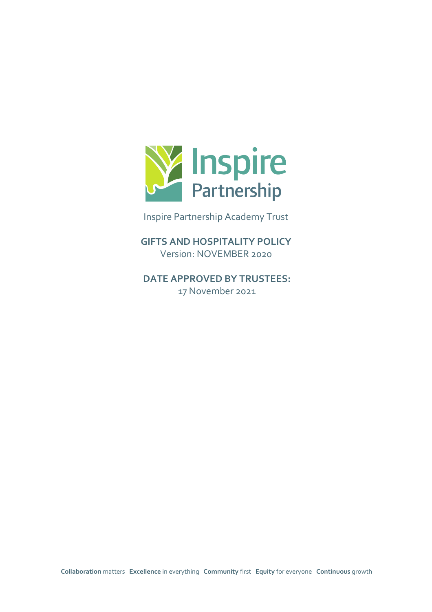

Inspire Partnership Academy Trust

**GIFTS AND HOSPITALITY POLICY** Version: NOVEMBER 2020

**DATE APPROVED BY TRUSTEES:**  17 November 2021

**Collaboration** matters **Excellence** in everything **Community** first **Equity** for everyone **Continuous** growth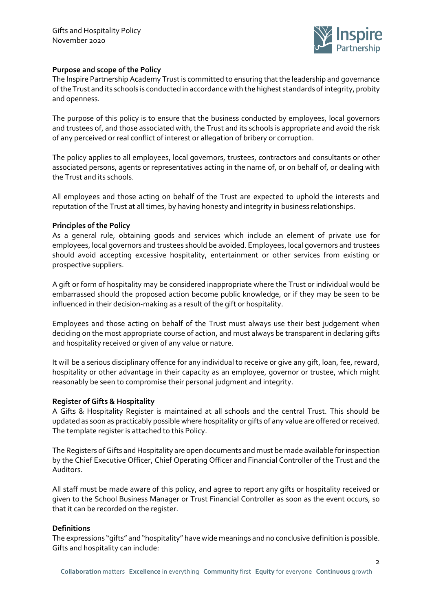

## **Purpose and scope of the Policy**

The Inspire Partnership Academy Trust is committed to ensuring that the leadership and governance of the Trust and its schools is conducted in accordance with the highest standards of integrity, probity and openness.

The purpose of this policy is to ensure that the business conducted by employees, local governors and trustees of, and those associated with, the Trust and its schools is appropriate and avoid the risk of any perceived or real conflict of interest or allegation of bribery or corruption.

The policy applies to all employees, local governors, trustees, contractors and consultants or other associated persons, agents or representatives acting in the name of, or on behalf of, or dealing with the Trust and its schools.

All employees and those acting on behalf of the Trust are expected to uphold the interests and reputation of the Trust at all times, by having honesty and integrity in business relationships.

# **Principles of the Policy**

As a general rule, obtaining goods and services which include an element of private use for employees, local governors and trustees should be avoided. Employees, local governors and trustees should avoid accepting excessive hospitality, entertainment or other services from existing or prospective suppliers.

A gift or form of hospitality may be considered inappropriate where the Trust or individual would be embarrassed should the proposed action become public knowledge, or if they may be seen to be influenced in their decision-making as a result of the gift or hospitality.

Employees and those acting on behalf of the Trust must always use their best judgement when deciding on the most appropriate course of action, and must always be transparent in declaring gifts and hospitality received or given of any value or nature.

It will be a serious disciplinary offence for any individual to receive or give any gift, loan, fee, reward, hospitality or other advantage in their capacity as an employee, governor or trustee, which might reasonably be seen to compromise their personal judgment and integrity.

## **Register of Gifts & Hospitality**

A Gifts & Hospitality Register is maintained at all schools and the central Trust. This should be updated as soon as practicably possible where hospitality or gifts of any value are offered or received. The template register is attached to this Policy.

The Registers of Gifts and Hospitality are open documents and must be made available for inspection by the Chief Executive Officer, Chief Operating Officer and Financial Controller of the Trust and the Auditors.

All staff must be made aware of this policy, and agree to report any gifts or hospitality received or given to the School Business Manager or Trust Financial Controller as soon as the event occurs, so that it can be recorded on the register.

## **Definitions**

The expressions "gifts" and "hospitality" have wide meanings and no conclusive definition is possible. Gifts and hospitality can include: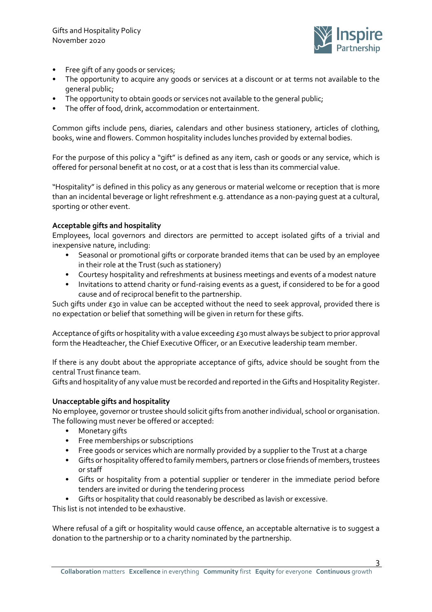

- Free gift of any goods or services;
- The opportunity to acquire any goods or services at a discount or at terms not available to the general public;
- The opportunity to obtain goods or services not available to the general public;
- The offer of food, drink, accommodation or entertainment.

Common gifts include pens, diaries, calendars and other business stationery, articles of clothing, books, wine and flowers. Common hospitality includes lunches provided by external bodies.

For the purpose of this policy a "gift" is defined as any item, cash or goods or any service, which is offered for personal benefit at no cost, or at a cost that is less than its commercial value.

"Hospitality" is defined in this policy as any generous or material welcome or reception that is more than an incidental beverage or light refreshment e.g. attendance as a non-paying guest at a cultural, sporting or other event.

# **Acceptable gifts and hospitality**

Employees, local governors and directors are permitted to accept isolated gifts of a trivial and inexpensive nature, including:

- Seasonal or promotional gifts or corporate branded items that can be used by an employee in their role at the Trust (such as stationery)
- Courtesy hospitality and refreshments at business meetings and events of a modest nature
- Invitations to attend charity or fund-raising events as a guest, if considered to be for a good cause and of reciprocal benefit to the partnership.

Such gifts under  $\epsilon$ 30 in value can be accepted without the need to seek approval, provided there is no expectation or belief that something will be given in return for these gifts.

Acceptance of gifts or hospitality with a value exceeding £30 must always be subject to prior approval form the Headteacher, the Chief Executive Officer, or an Executive leadership team member.

If there is any doubt about the appropriate acceptance of gifts, advice should be sought from the central Trust finance team.

Gifts and hospitality of any value must be recorded and reported in the Gifts and Hospitality Register.

## **Unacceptable gifts and hospitality**

No employee, governor or trustee should solicit gifts from another individual, school or organisation. The following must never be offered or accepted:

- Monetary gifts
- Free memberships or subscriptions
- Free goods or services which are normally provided by a supplier to the Trust at a charge
- Gifts or hospitality offered to family members, partners or close friends of members, trustees or staff
- Gifts or hospitality from a potential supplier or tenderer in the immediate period before tenders are invited or during the tendering process
- Gifts or hospitality that could reasonably be described as lavish or excessive.

This list is not intended to be exhaustive.

Where refusal of a gift or hospitality would cause offence, an acceptable alternative is to suggest a donation to the partnership or to a charity nominated by the partnership.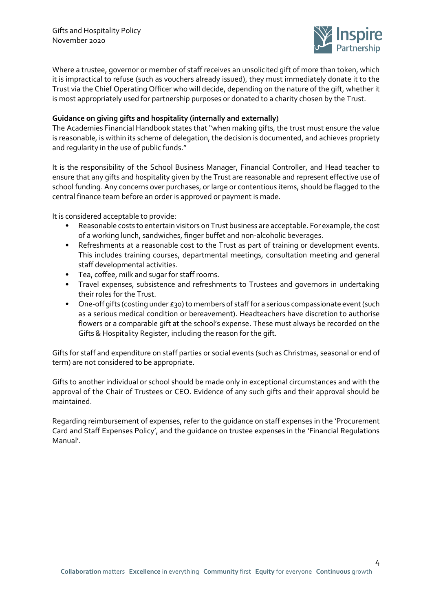

Where a trustee, governor or member of staff receives an unsolicited gift of more than token, which it is impractical to refuse (such as vouchers already issued), they must immediately donate it to the Trust via the Chief Operating Officer who will decide, depending on the nature of the gift, whether it is most appropriately used for partnership purposes or donated to a charity chosen by the Trust.

## **Guidance on giving gifts and hospitality (internally and externally)**

The Academies Financial Handbook states that "when making gifts, the trust must ensure the value is reasonable, is within its scheme of delegation, the decision is documented, and achieves propriety and regularity in the use of public funds."

It is the responsibility of the School Business Manager, Financial Controller, and Head teacher to ensure that any gifts and hospitality given by the Trust are reasonable and represent effective use of school funding. Any concerns over purchases, or large or contentious items, should be flagged to the central finance team before an order is approved or payment is made.

It is considered acceptable to provide:

- Reasonable costs to entertain visitors on Trust business are acceptable. For example, the cost of a working lunch, sandwiches, finger buffet and non-alcoholic beverages.
- Refreshments at a reasonable cost to the Trust as part of training or development events. This includes training courses, departmental meetings, consultation meeting and general staff developmental activities.
- Tea, coffee, milk and sugar for staff rooms.
- Travel expenses, subsistence and refreshments to Trustees and governors in undertaking their roles for the Trust.
- One-off gifts (costing under £30) to members of staff for a serious compassionate event (such as a serious medical condition or bereavement). Headteachers have discretion to authorise flowers or a comparable gift at the school's expense. These must always be recorded on the Gifts & Hospitality Register, including the reason for the gift.

Gifts for staff and expenditure on staff parties or social events (such as Christmas, seasonal or end of term) are not considered to be appropriate.

Gifts to another individual or school should be made only in exceptional circumstances and with the approval of the Chair of Trustees or CEO. Evidence of any such gifts and their approval should be maintained.

Regarding reimbursement of expenses, refer to the guidance on staff expenses in the 'Procurement Card and Staff Expenses Policy', and the guidance on trustee expenses in the 'Financial Regulations Manual'.

4